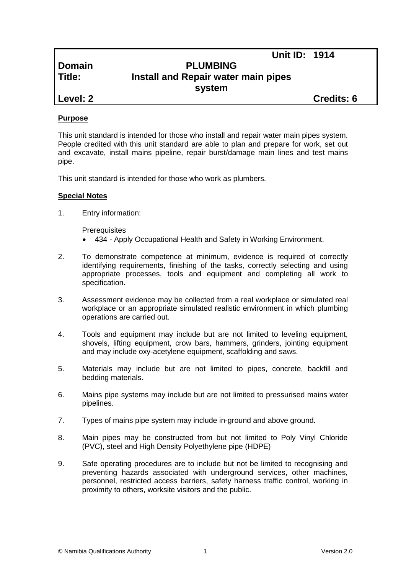**Domain PLUMBING Title: Install and Repair water main pipes system**

**Level: 2 Credits: 6**

**Unit ID: 1914**

# **Purpose**

This unit standard is intended for those who install and repair water main pipes system. People credited with this unit standard are able to plan and prepare for work, set out and excavate, install mains pipeline, repair burst/damage main lines and test mains pipe.

This unit standard is intended for those who work as plumbers.

# **Special Notes**

1. Entry information:

**Prerequisites** 

- 434 *-* Apply Occupational Health and Safety in Working Environment.
- 2. To demonstrate competence at minimum, evidence is required of correctly identifying requirements, finishing of the tasks, correctly selecting and using appropriate processes, tools and equipment and completing all work to specification.
- 3. Assessment evidence may be collected from a real workplace or simulated real workplace or an appropriate simulated realistic environment in which plumbing operations are carried out.
- 4. Tools and equipment may include but are not limited to leveling equipment, shovels, lifting equipment, crow bars, hammers, grinders, jointing equipment and may include oxy-acetylene equipment, scaffolding and saws.
- 5. Materials may include but are not limited to pipes, concrete, backfill and bedding materials.
- 6. Mains pipe systems may include but are not limited to pressurised mains water pipelines.
- 7. Types of mains pipe system may include in-ground and above ground.
- 8. Main pipes may be constructed from but not limited to Poly Vinyl Chloride (PVC), steel and High Density Polyethylene pipe (HDPE)
- 9. Safe operating procedures are to include but not be limited to recognising and preventing hazards associated with underground services, other machines, personnel, restricted access barriers, safety harness traffic control, working in proximity to others, worksite visitors and the public.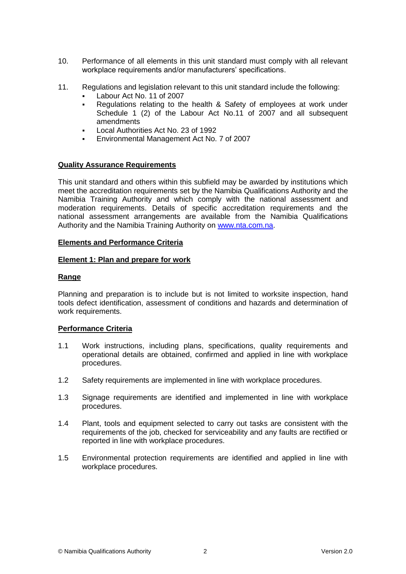- 10. Performance of all elements in this unit standard must comply with all relevant workplace requirements and/or manufacturers' specifications.
- 11. Regulations and legislation relevant to this unit standard include the following:
	- Labour Act No. 11 of 2007
	- Regulations relating to the health & Safety of employees at work under Schedule 1 (2) of the Labour Act No.11 of 2007 and all subsequent amendments
	- Local Authorities Act No. 23 of 1992
	- Environmental Management Act No. 7 of 2007

### **Quality Assurance Requirements**

This unit standard and others within this subfield may be awarded by institutions which meet the accreditation requirements set by the Namibia Qualifications Authority and the Namibia Training Authority and which comply with the national assessment and moderation requirements. Details of specific accreditation requirements and the national assessment arrangements are available from the Namibia Qualifications Authority and the Namibia Training Authority on [www.nta.com.na.](http://www.nta.com.na/)

# **Elements and Performance Criteria**

### **Element 1: Plan and prepare for work**

### **Range**

Planning and preparation is to include but is not limited to worksite inspection, hand tools defect identification, assessment of conditions and hazards and determination of work requirements.

#### **Performance Criteria**

- 1.1 Work instructions, including plans, specifications, quality requirements and operational details are obtained, confirmed and applied in line with workplace procedures.
- 1.2 Safety requirements are implemented in line with workplace procedures.
- 1.3 Signage requirements are identified and implemented in line with workplace procedures.
- 1.4 Plant, tools and equipment selected to carry out tasks are consistent with the requirements of the job, checked for serviceability and any faults are rectified or reported in line with workplace procedures.
- 1.5 Environmental protection requirements are identified and applied in line with workplace procedures.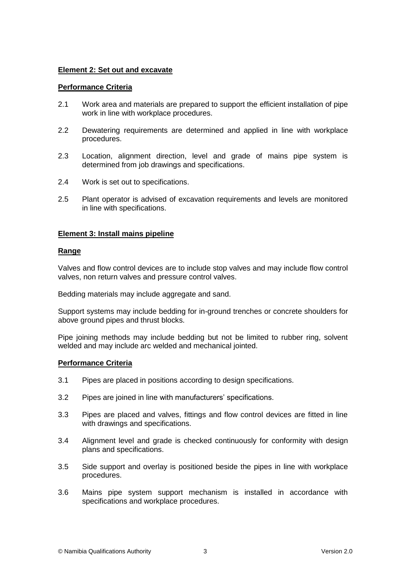# **Element 2: Set out and excavate**

# **Performance Criteria**

- 2.1 Work area and materials are prepared to support the efficient installation of pipe work in line with workplace procedures.
- 2.2 Dewatering requirements are determined and applied in line with workplace procedures.
- 2.3 Location, alignment direction, level and grade of mains pipe system is determined from job drawings and specifications.
- 2.4 Work is set out to specifications.
- 2.5 Plant operator is advised of excavation requirements and levels are monitored in line with specifications.

### **Element 3: Install mains pipeline**

### **Range**

Valves and flow control devices are to include stop valves and may include flow control valves, non return valves and pressure control valves.

Bedding materials may include aggregate and sand.

Support systems may include bedding for in-ground trenches or concrete shoulders for above ground pipes and thrust blocks.

Pipe joining methods may include bedding but not be limited to rubber ring, solvent welded and may include arc welded and mechanical jointed.

#### **Performance Criteria**

- 3.1 Pipes are placed in positions according to design specifications.
- 3.2 Pipes are joined in line with manufacturers' specifications.
- 3.3 Pipes are placed and valves, fittings and flow control devices are fitted in line with drawings and specifications.
- 3.4 Alignment level and grade is checked continuously for conformity with design plans and specifications.
- 3.5 Side support and overlay is positioned beside the pipes in line with workplace procedures.
- 3.6 Mains pipe system support mechanism is installed in accordance with specifications and workplace procedures.